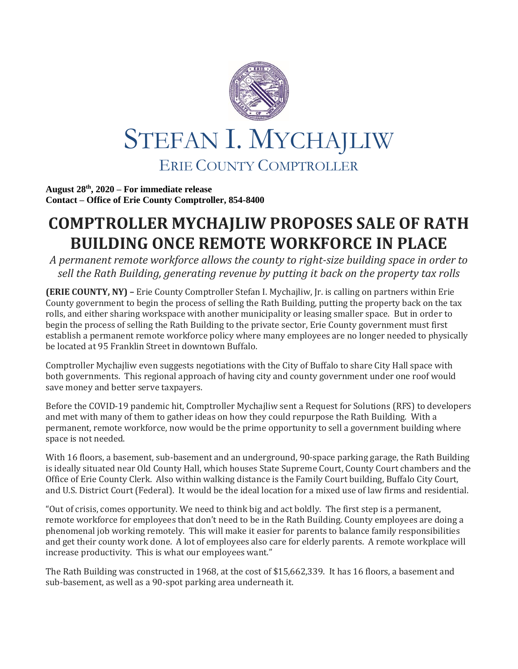

**August 28 th, 2020 – For immediate release Contact – Office of Erie County Comptroller, 854-8400**

## **COMPTROLLER MYCHAJLIW PROPOSES SALE OF RATH BUILDING ONCE REMOTE WORKFORCE IN PLACE**

*A permanent remote workforce allows the county to right-size building space in order to sell the Rath Building, generating revenue by putting it back on the property tax rolls*

**(ERIE COUNTY, NY) –** Erie County Comptroller Stefan I. Mychajliw, Jr. is calling on partners within Erie County government to begin the process of selling the Rath Building, putting the property back on the tax rolls, and either sharing workspace with another municipality or leasing smaller space. But in order to begin the process of selling the Rath Building to the private sector, Erie County government must first establish a permanent remote workforce policy where many employees are no longer needed to physically be located at 95 Franklin Street in downtown Buffalo.

Comptroller Mychajliw even suggests negotiations with the City of Buffalo to share City Hall space with both governments. This regional approach of having city and county government under one roof would save money and better serve taxpayers.

Before the COVID-19 pandemic hit, Comptroller Mychajliw sent a Request for Solutions (RFS) to developers and met with many of them to gather ideas on how they could repurpose the Rath Building. With a permanent, remote workforce, now would be the prime opportunity to sell a government building where space is not needed.

With 16 floors, a basement, sub-basement and an underground, 90-space parking garage, the Rath Building is ideally situated near Old County Hall, which houses State Supreme Court, County Court chambers and the Office of Erie County Clerk. Also within walking distance is the Family Court building, Buffalo City Court, and U.S. District Court (Federal). It would be the ideal location for a mixed use of law firms and residential.

"Out of crisis, comes opportunity. We need to think big and act boldly. The first step is a permanent, remote workforce for employees that don't need to be in the Rath Building. County employees are doing a phenomenal job working remotely. This will make it easier for parents to balance family responsibilities and get their county work done. A lot of employees also care for elderly parents. A remote workplace will increase productivity. This is what our employees want."

The Rath Building was constructed in 1968, at the cost of \$15,662,339. It has 16 floors, a basement and sub-basement, as well as a 90-spot parking area underneath it.